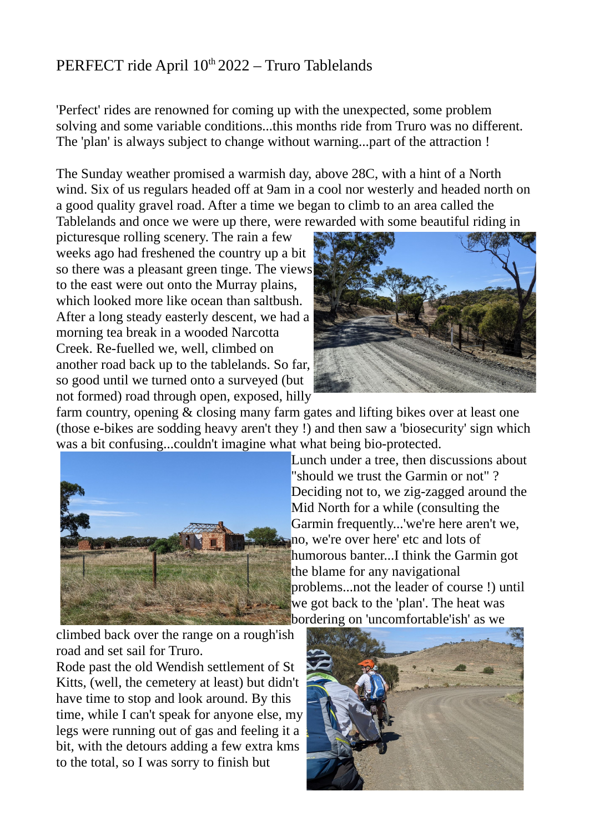## PERFECT ride April 10<sup>th</sup> 2022 – Truro Tablelands

'Perfect' rides are renowned for coming up with the unexpected, some problem solving and some variable conditions...this months ride from Truro was no different. The 'plan' is always subject to change without warning...part of the attraction !

The Sunday weather promised a warmish day, above 28C, with a hint of a North wind. Six of us regulars headed off at 9am in a cool nor westerly and headed north on a good quality gravel road. After a time we began to climb to an area called the Tablelands and once we were up there, were rewarded with some beautiful riding in

picturesque rolling scenery. The rain a few weeks ago had freshened the country up a bit so there was a pleasant green tinge. The views to the east were out onto the Murray plains, which looked more like ocean than saltbush. After a long steady easterly descent, we had a morning tea break in a wooded Narcotta Creek. Re-fuelled we, well, climbed on another road back up to the tablelands. So far, so good until we turned onto a surveyed (but not formed) road through open, exposed, hilly



farm country, opening & closing many farm gates and lifting bikes over at least one (those e-bikes are sodding heavy aren't they !) and then saw a 'biosecurity' sign which was a bit confusing...couldn't imagine what what being bio-protected.



Lunch under a tree, then discussions about "should we trust the Garmin or not" ? Deciding not to, we zig-zagged around the Mid North for a while (consulting the Garmin frequently...'we're here aren't we, no, we're over here' etc and lots of humorous banter...I think the Garmin got the blame for any navigational problems...not the leader of course !) until we got back to the 'plan'. The heat was bordering on 'uncomfortable'ish' as we

climbed back over the range on a rough'ish road and set sail for Truro.

Rode past the old Wendish settlement of St Kitts, (well, the cemetery at least) but didn't have time to stop and look around. By this time, while I can't speak for anyone else, my legs were running out of gas and feeling it a bit, with the detours adding a few extra kms to the total, so I was sorry to finish but